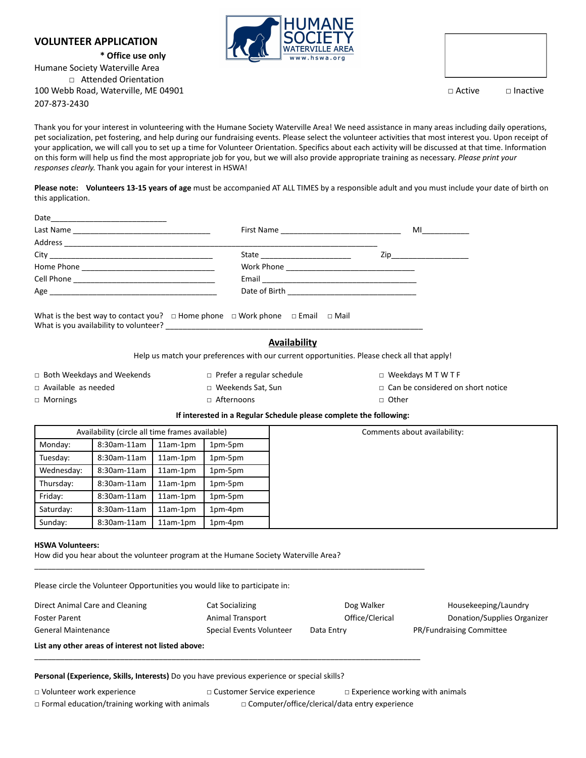## **VOLUNTEER APPLICATION**

**\* Office use only** Humane Society Waterville Area □ Attended Orientation 100 Webb Road, Waterville, ME 04901 □ Active □ Inactive 207-873-2430



Thank you for your interest in volunteering with the Humane Society Waterville Area! We need assistance in many areas including daily operations, pet socialization, pet fostering, and help during our fundraising events. Please select the volunteer activities that most interest you. Upon receipt of your application, we will call you to set up a time for Volunteer Orientation. Specifics about each activity will be discussed at that time. Information on this form will help us find the most appropriate job for you, but we will also provide appropriate training as necessary. *Please print your responses clearly.* Thank you again for your interest in HSWA!

**Please note: Volunteers 13-15 years of age** must be accompanied AT ALL TIMES by a responsible adult and you must include your date of birth on this application.

|                                                                                                   | State                                          |  |  |  |  |
|---------------------------------------------------------------------------------------------------|------------------------------------------------|--|--|--|--|
|                                                                                                   | Work Phone ___________________________________ |  |  |  |  |
|                                                                                                   |                                                |  |  |  |  |
|                                                                                                   |                                                |  |  |  |  |
| What is the best way to contact you? $\Box$ Home phone $\Box$ Work phone $\Box$ Email $\Box$ Mail |                                                |  |  |  |  |
|                                                                                                   | <b>Availability</b>                            |  |  |  |  |

Help us match your preferences with our current opportunities. Please check all that apply!

□ Both Weekdays and Weekends □ Prefer a regular schedule □ Weekdays M T W T F

□ Available as needed □ □ Weekends Sat, Sun □ Can be considered on short notice

□ Mornings □ □ Other □ Afternoons □ □ Other

\_\_\_\_\_\_\_\_\_\_\_\_\_\_\_\_\_\_\_\_\_\_\_\_\_\_\_\_\_\_\_\_\_\_\_\_\_\_\_\_\_\_\_\_\_\_\_\_\_\_\_\_\_\_\_\_\_\_\_\_\_\_\_\_\_\_\_\_\_\_\_\_\_\_\_\_\_\_\_\_\_\_\_\_\_\_\_\_\_\_\_

\_\_\_\_\_\_\_\_\_\_\_\_\_\_\_\_\_\_\_\_\_\_\_\_\_\_\_\_\_\_\_\_\_\_\_\_\_\_\_\_\_\_\_\_\_\_\_\_\_\_\_\_\_\_\_\_\_\_\_\_\_\_\_\_\_\_\_\_\_\_\_\_\_\_\_\_\_\_\_\_\_\_\_\_\_\_\_\_\_\_

## **If interested in a Regular Schedule please complete the following:**

|            | Availability (circle all time frames available) |            |         |
|------------|-------------------------------------------------|------------|---------|
| Monday:    | 8:30am-11am                                     | $11am-1pm$ | 1pm-5pm |
| Tuesday:   | 8:30am-11am                                     | $11am-1pm$ | 1pm-5pm |
| Wednesday: | 8:30am-11am                                     | $11am-1pm$ | 1pm-5pm |
| Thursday:  | 8:30am-11am                                     | $11am-1pm$ | 1pm-5pm |
| Friday:    | 8:30am-11am                                     | $11am-1pm$ | 1pm-5pm |
| Saturday:  | 8:30am-11am                                     | $11am-1pm$ | 1pm-4pm |
| Sunday:    | 8:30am-11am                                     | $11am-1pm$ | 1pm-4pm |

## **HSWA Volunteers:**

How did you hear about the volunteer program at the Humane Society Waterville Area?

Please circle the Volunteer Opportunities you would like to participate in:

| Direct Animal Care and Cleaning<br><b>Cat Socializing</b> |                          | Dog Walker      | Housekeeping/Laundry            |  |  |  |  |
|-----------------------------------------------------------|--------------------------|-----------------|---------------------------------|--|--|--|--|
| <b>Foster Parent</b>                                      | Animal Transport         | Office/Clerical | Donation/Supplies Organizer     |  |  |  |  |
| General Maintenance                                       | Special Events Volunteer | Data Entry      | <b>PR/Fundraising Committee</b> |  |  |  |  |
| List any other areas of interest not listed above:        |                          |                 |                                 |  |  |  |  |

**Personal (Experience, Skills, Interests)** Do you have previous experience or special skills?

□ Formal education/training working with animals □ Computer/office/clerical/data entry experience

□ Volunteer work experience □ □ Customer Service experience □ Experience working with animals